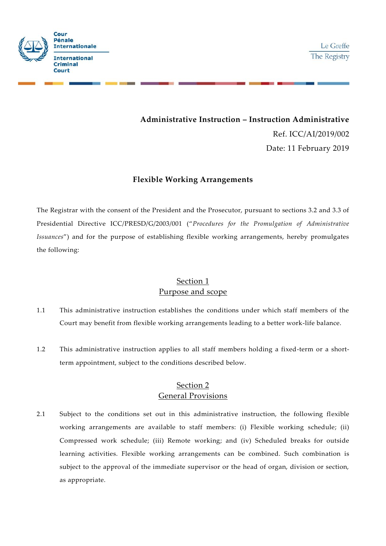

**Administrative Instruction –Instruction Administrative** Ref. ICC/AI/2019/002 Date: 11 February 2019

### **Flexible Working Arrangements**

The Registrar with the consent of the President and the Prosecutor, pursuant to sections 3.2 and 3.3 of Presidential Directive ICC/PRESD/G/2003/001 ("*Procedures for the Promulgation of Administrative Issuances*") and for the purpose of establishing flexible working arrangements, hereby promulgates the following:

## Section 1 Purpose and scope

- 1.1 This administrative instruction establishes the conditions under which staff members of the Court may benefit from flexible working arrangements leading to a better work-life balance.
- 1.2 This administrative instruction applies to all staff members holding a fixed-term or a shortterm appointment, subject to the conditions described below.

## Section 2 General Provisions

2.1 Subject to the conditions set out in this administrative instruction, the following flexible working arrangements are available to staff members: (i) Flexible working schedule; (ii) Compressed work schedule; (iii) Remote working; and (iv) Scheduled breaks for outside learning activities. Flexible working arrangements can be combined. Such combination is subject to the approval of the immediate supervisor or the head of organ, division or section, as appropriate.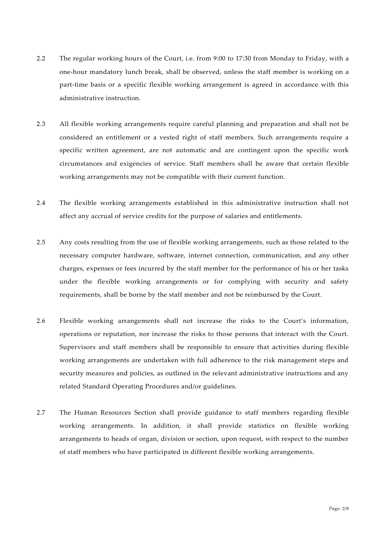- 2.2 The regular working hours of the Court, i.e. from 9:00 to 17:30 from Monday to Friday, with a one-hour mandatory lunch break, shall be observed, unless the staff member is working on a part-time basis or a specific flexible working arrangement is agreed in accordance with this administrative instruction.
- 2.3 All flexible working arrangements require careful planning and preparation and shall not be considered an entitlement or a vested right of staff members. Such arrangements require a specific written agreement, are not automatic and are contingent upon the specific work circumstances and exigencies of service. Staff members shall be aware that certain flexible working arrangements may not be compatible with their current function.
- 2.4 The flexible working arrangements established in this administrative instruction shall not affect any accrual of service credits for the purpose of salaries and entitlements.
- 2.5 Any costs resulting from the use of flexible working arrangements, such as those related to the necessary computer hardware, software, internet connection, communication, and any other charges, expenses or fees incurred by the staff member for the performance of his or her tasks under the flexible working arrangements or for complying with security and safety requirements, shall be borne by the staff member and not be reimbursed by the Court.
- 2.6 Flexible working arrangements shall not increase the risks to the Court's information, operations or reputation, nor increase the risks to those persons that interact with the Court. Supervisors and staff members shall be responsible to ensure that activities during flexible working arrangements are undertaken with full adherence to the risk management steps and security measures and policies, as outlined in the relevant administrative instructions and any related Standard Operating Procedures and/or guidelines.
- 2.7 The Human Resources Section shall provide guidance to staff members regarding flexible working arrangements. In addition, it shall provide statistics on flexible working arrangements to heads of organ, division or section, upon request, with respect to the number of staff members who have participated in different flexible working arrangements.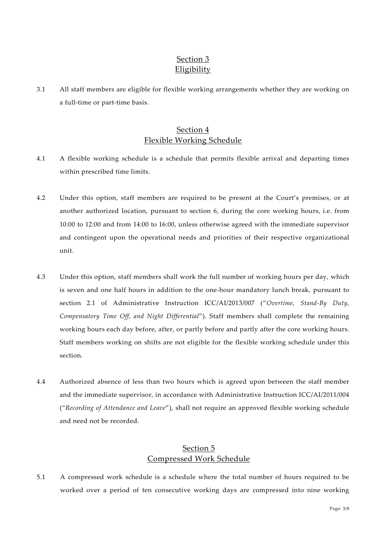# Section 3 Eligibility

3.1 All staff members are eligible for flexible working arrangements whether they are working on a full-time or part-time basis.

## Section 4 Flexible Working Schedule

- 4.1 A flexible working schedule is a schedule that permits flexible arrival and departing times within prescribed time limits.
- 4.2 Under this option, staff members are required to be present at the Court's premises, or at another authorized location, pursuant to section 6, during the core working hours, i.e. from 10:00 to 12:00 and from 14:00 to 16:00, unless otherwise agreed with the immediate supervisor and contingent upon the operational needs and priorities of their respective organizational unit.
- 4.3 Under this option, staff members shall work the full number of working hours per day, which is seven and one half hours in addition to the one-hour mandatory lunch break, pursuant to section 2.1 of Administrative Instruction ICC/AI/2013/007 ("*Overtime, Stand-By Duty, Compensatory Time Off, and Night Differential*"). Staff members shall complete the remaining working hours each day before, after, or partly before and partly after the core working hours. Staff members working on shifts are not eligible for the flexible working schedule under this section.
- 4.4 Authorized absence of less than two hours which isagreed upon between the staff member and the immediate supervisor, in accordance with Administrative Instruction ICC/AI/2011/004 ("*Recording of Attendance and Leave*"), shall not require an approved flexible working schedule and need not be recorded.

### Section 5 Compressed Work Schedule

5.1 A compressed work schedule is a schedule where the total number of hours required to be worked over a period of ten consecutive working days are compressed into nine working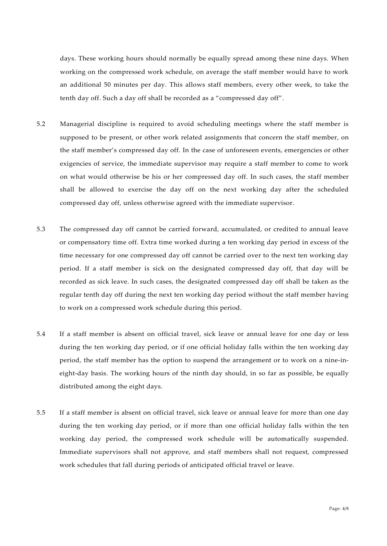days. These working hours should normally be equally spread among these nine days. When working on the compressed work schedule, on average the staff member would have to work an additional 50 minutes per day. This allows staff members, every other week, to take the tenth day off. Such a day off shall be recorded as a "compressed day off".

- 5.2 Managerial discipline is required to avoid scheduling meetings where the staff member is supposed to be present, or other work related assignments that concern the staff member, on the staff member's compressed day off. In the case of unforeseen events, emergencies or other exigencies of service, the immediate supervisor may require a staff member to come to work on what would otherwise be his or her compressed day off. In such cases, the staff member shall be allowed to exercise the day off on the next working day after the scheduled compressed day off, unless otherwise agreed with the immediate supervisor.
- 5.3 The compressed day off cannot be carried forward, accumulated, or credited to annual leave or compensatory time off. Extra time worked during a ten working day period in excess of the time necessary for one compressed day off cannot be carried over to the next ten working day period. If a staff member is sick on the designated compressed day off, that day will be recorded as sick leave. In such cases, the designated compressed day off shall be taken as the regular tenth day off during the next ten working day period without the staff member having to work on a compressed work schedule during this period.
- 5.4 If a staff member is absent on official travel, sick leave or annual leave for one day or less during the ten working day period, or if one official holiday falls within the ten working day period, the staff member has the option to suspend the arrangement or to work on a nine-in eight-day basis. The working hours of the ninth day should, in so far as possible, be equally distributed among the eight days.
- 5.5 If a staff member is absent on official travel, sick leave or annual leave for more than one day during the ten working day period, or if more than one official holiday falls within the ten working day period, the compressed work schedule will be automatically suspended. Immediate supervisors shall not approve, and staff members shall not request, compressed work schedules that fall during periods of anticipated official travel or leave.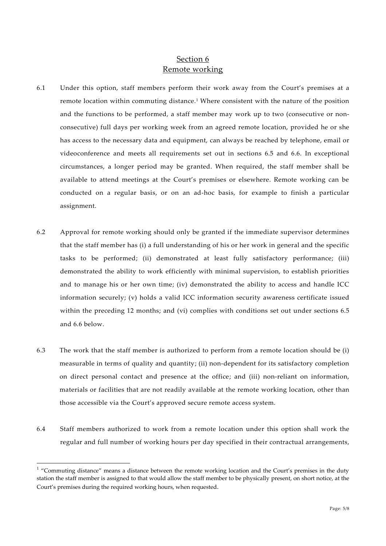### Section 6 Remote working

- 6.1 Under this option, staff members perform their work away from the Court's premises at a remote location within commuting distance.<sup>1</sup> Where consistent with the nature of the position and the functions to be performed, a staff member may work up to two (consecutive or non consecutive) full days per working week from an agreed remote location, provided he or she has access to the necessary data and equipment, can always be reached by telephone, email or videoconference and meets all requirements set out in sections 6.5 and 6.6. In exceptional circumstances, a longer period may be granted. When required, the staff member shall be available to attend meetings at the Court's premises or elsewhere. Remote working can be conducted on a regular basis, or on an ad-hoc basis, for example to finish a particular assignment.
- 6.2 Approval for remote working should only be granted if the immediate supervisor determines that the staff member has (i) a full understanding of his or her work in general and the specific tasks to be performed; (ii) demonstrated at least fully satisfactory performance; (iii) demonstrated the ability to work efficiently with minimal supervision, to establish priorities and to manage his or her own time; (iv) demonstrated the ability to access and handle ICC information securely; (v) holds a valid ICC information security awareness certificate issued within the preceding 12 months; and (vi) complies with conditions set out under sections 6.5 and 6.6 below.
- 6.3 The work that the staff member is authorized to perform from a remote location should be (i) measurable in terms of quality and quantity; (ii) non-dependent for its satisfactory completion on direct personal contact and presence at the office; and (iii) non-reliant on information, materials or facilities that are not readily available at the remote working location, other than those accessible via the Court's approved secure remote access system.
- 6.4 Staff members authorized to work from a remote location under this option shall work the regular and full number of working hours per day specified in their contractual arrangements,

 $1$  "Commuting distance" means a distance between the remote working location and the Court's premises in the duty station the staff member is assigned to that would allow the staff member to be physically present, on short notice, at the Court's premises during the required working hours, when requested.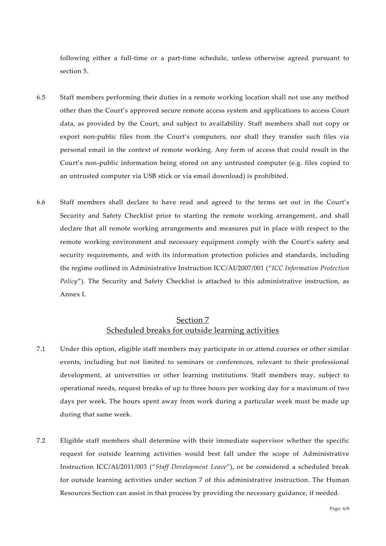following either a full-time or a part-time schedule, unless otherwise agreed pursuant to section 5.

- 6.5 Staff members performing their duties in a remote working location shall not use any method other than the Court's approved secure remote access system and applications to access Court data, as provided by the Court, and subject to availability. Staff members shall not copy or export non-public files from the Court's computers, nor shall they transfer such files via personal email in the context of remote working. Any form of access that could result in the Court's non-public information being stored on any untrusted computer (e.g. files copied to an untrusted computer via USB stick or via email download) is prohibited.
- 6.6 Staff members shall declare to have read and agreed to the terms set out in the Court's Security and Safety Checklist prior to starting the remote working arrangement, and shall declare that all remote working arrangements and measures put in place with respect to the remote working environment and necessary equipment comply with the Court's safety and security requirements, and with its information protection policies and standards, including the regime outlined in Administrative Instruction ICC/AI/2007/001 ("*ICC Information Protection Policy*"). The Security and Safety Checklist is attached to this administrative instruction, as Annex I.

## Section 7 Scheduled breaks for outside learning activities

- 7.1 Under this option, eligible staff members may participate in orattend courses or other similar events, including but not limited to seminars or conferences, relevant to their professional development, at universities or other learning institutions. Staff members may, subject to operational needs, request breaks of up to three hours per working day for a maximum of two days per week. The hours spent away from work during a particular week must be made up during that same week.
- 7.2 Eligible staff members shall determine with their immediate supervisor whether the specific request for outside learning activities would best fall under the scope of Administrative Instruction ICC/AI/2011/003 ("*Staff Development Leave*"), or be considered a scheduled break for outside learning activities under section 7 of this administrative instruction. The Human Resources Section can assist in that process by providing the necessary guidance, if needed.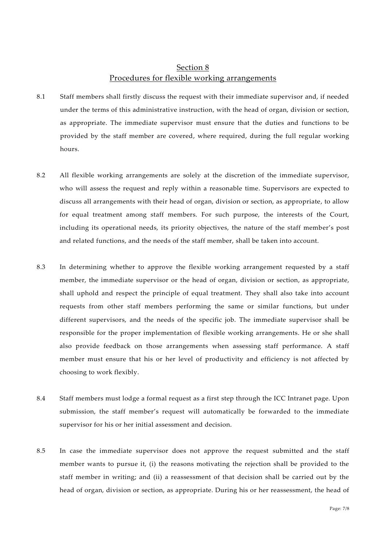### Section 8 Procedures for flexible working arrangements

- 8.1 Staff members shall firstly discuss the request with their immediate supervisor and, if needed under the terms of this administrative instruction, with the head of organ, division or section, as appropriate. The immediate supervisor must ensure that the duties and functions to be provided by the staff member are covered, where required, during the full regular working hours.
- 8.2 All flexible working arrangements are solely at the discretion of the immediate supervisor, who will assess the request and reply within a reasonable time. Supervisors are expected to discuss all arrangements with their head of organ, division or section, as appropriate, to allow for equal treatment among staff members. For such purpose, the interests of the Court, including its operational needs, its priority objectives, the nature of the staff member's post and related functions, and the needs of the staff member, shall be taken into account.
- 8.3 In determining whether to approve the flexible working arrangement requested by a staff member, the immediate supervisor or the head of organ, division or section, as appropriate, shall uphold and respect the principle of equal treatment. They shall also take into account requests from other staff members performing the same or similar functions, but under different supervisors, and the needs of the specific job. The immediate supervisor shall be responsible for the proper implementation of flexible working arrangements. He or she shall also provide feedback on those arrangements when assessing staff performance. A staff member must ensure that his or her level of productivity and efficiency is not affected by choosing to work flexibly.
- 8.4 Staff members must lodge a formal request as a first step through the ICC Intranet page. Upon submission, the staff member's request will automatically be forwarded to the immediate supervisor for his or her initial assessment and decision.
- 8.5 In case the immediate supervisor does not approve the request submitted and the staff member wants to pursue it, (i) the reasons motivating the rejection shall be provided to the staff member in writing; and (ii) a reassessment of that decision shall be carried out by the head of organ, division or section, as appropriate. During his or her reassessment, the head of